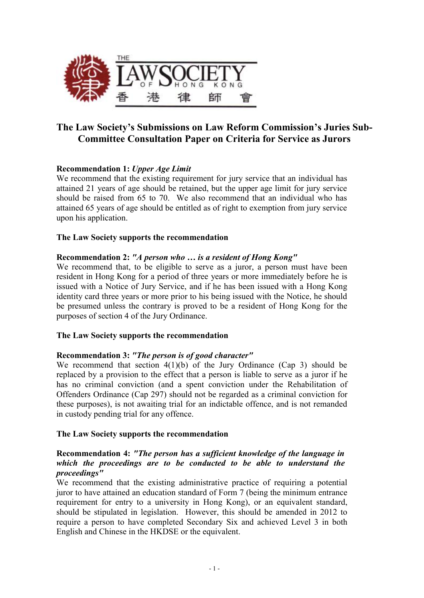

## **The Law Society's Submissions on Law Reform Commission's Juries Sub-Committee Consultation Paper on Criteria for Service as Jurors**

## **Recommendation 1:** *Upper Age Limit*

We recommend that the existing requirement for jury service that an individual has attained 21 years of age should be retained, but the upper age limit for jury service should be raised from 65 to 70. We also recommend that an individual who has attained 65 years of age should be entitled as of right to exemption from jury service upon his application.

## **The Law Society supports the recommendation**

## **Recommendation 2:** *"A person who … is a resident of Hong Kong"*

We recommend that, to be eligible to serve as a juror, a person must have been resident in Hong Kong for a period of three years or more immediately before he is issued with a Notice of Jury Service, and if he has been issued with a Hong Kong identity card three years or more prior to his being issued with the Notice, he should be presumed unless the contrary is proved to be a resident of Hong Kong for the purposes of section 4 of the Jury Ordinance.

## **The Law Society supports the recommendation**

#### **Recommendation 3:** *"The person is of good character"*

We recommend that section  $4(1)(b)$  of the Jury Ordinance (Cap 3) should be replaced by a provision to the effect that a person is liable to serve as a juror if he has no criminal conviction (and a spent conviction under the Rehabilitation of Offenders Ordinance (Cap 297) should not be regarded as a criminal conviction for these purposes), is not awaiting trial for an indictable offence, and is not remanded in custody pending trial for any offence.

#### **The Law Society supports the recommendation**

## **Recommendation 4:** *"The person has a sufficient knowledge of the language in which the proceedings are to be conducted to be able to understand the proceedings"*

We recommend that the existing administrative practice of requiring a potential juror to have attained an education standard of Form 7 (being the minimum entrance requirement for entry to a university in Hong Kong), or an equivalent standard, should be stipulated in legislation. However, this should be amended in 2012 to require a person to have completed Secondary Six and achieved Level 3 in both English and Chinese in the HKDSE or the equivalent.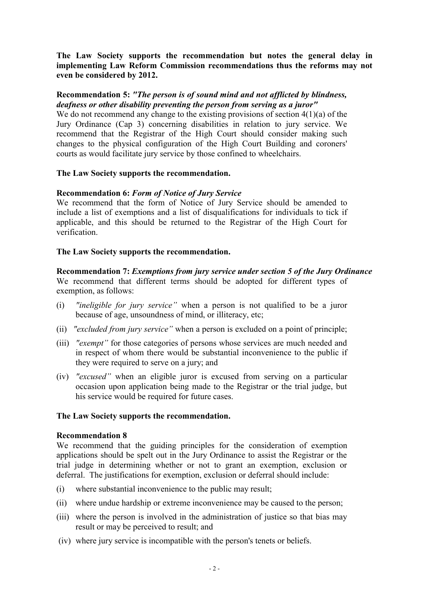**The Law Society supports the recommendation but notes the general delay in implementing Law Reform Commission recommendations thus the reforms may not even be considered by 2012.** 

## **Recommendation 5:** *"The person is of sound mind and not afflicted by blindness, deafness or other disability preventing the person from serving as a juror"*

We do not recommend any change to the existing provisions of section 4(1)(a) of the Jury Ordinance (Cap 3) concerning disabilities in relation to jury service. We recommend that the Registrar of the High Court should consider making such changes to the physical configuration of the High Court Building and coroners' courts as would facilitate jury service by those confined to wheelchairs.

#### **The Law Society supports the recommendation.**

## **Recommendation 6:** *Form of Notice of Jury Service*

We recommend that the form of Notice of Jury Service should be amended to include a list of exemptions and a list of disqualifications for individuals to tick if applicable, and this should be returned to the Registrar of the High Court for verification.

#### **The Law Society supports the recommendation.**

**Recommendation 7:** *Exemptions from jury service under section 5 of the Jury Ordinance*  We recommend that different terms should be adopted for different types of exemption, as follows:

- (i) *"ineligible for jury service"* when a person is not qualified to be a juror because of age, unsoundness of mind, or illiteracy, etc;
- (ii) *"excluded from jury service"* when a person is excluded on a point of principle;
- (iii) *"exempt"* for those categories of persons whose services are much needed and in respect of whom there would be substantial inconvenience to the public if they were required to serve on a jury; and
- (iv) *"excused"* when an eligible juror is excused from serving on a particular occasion upon application being made to the Registrar or the trial judge, but his service would be required for future cases.

#### **The Law Society supports the recommendation.**

#### **Recommendation 8**

We recommend that the guiding principles for the consideration of exemption applications should be spelt out in the Jury Ordinance to assist the Registrar or the trial judge in determining whether or not to grant an exemption, exclusion or deferral. The justifications for exemption, exclusion or deferral should include:

- (i) where substantial inconvenience to the public may result;
- (ii) where undue hardship or extreme inconvenience may be caused to the person;
- (iii) where the person is involved in the administration of justice so that bias may result or may be perceived to result; and
- (iv) where jury service is incompatible with the person's tenets or beliefs.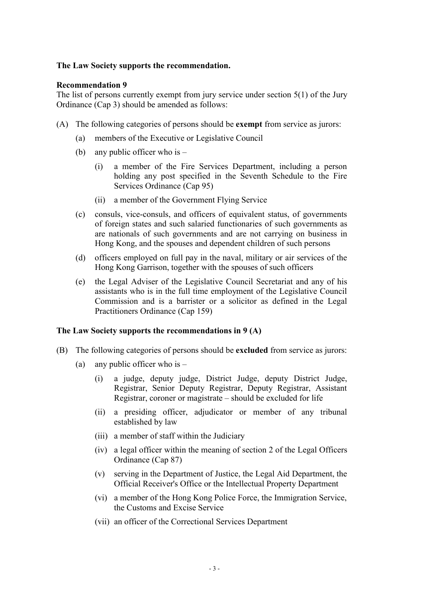#### **The Law Society supports the recommendation.**

#### **Recommendation 9**

The list of persons currently exempt from jury service under section 5(1) of the Jury Ordinance (Cap 3) should be amended as follows:

- (A) The following categories of persons should be **exempt** from service as jurors:
	- (a) members of the Executive or Legislative Council
	- (b) any public officer who is
		- (i) a member of the Fire Services Department, including a person holding any post specified in the Seventh Schedule to the Fire Services Ordinance (Cap 95)
		- (ii) a member of the Government Flying Service
	- (c) consuls, vice-consuls, and officers of equivalent status, of governments of foreign states and such salaried functionaries of such governments as are nationals of such governments and are not carrying on business in Hong Kong, and the spouses and dependent children of such persons
	- (d) officers employed on full pay in the naval, military or air services of the Hong Kong Garrison, together with the spouses of such officers
	- (e) the Legal Adviser of the Legislative Council Secretariat and any of his assistants who is in the full time employment of the Legislative Council Commission and is a barrister or a solicitor as defined in the Legal Practitioners Ordinance (Cap 159)

#### **The Law Society supports the recommendations in 9 (A)**

- (B) The following categories of persons should be **excluded** from service as jurors:
	- (a) any public officer who is  $-$ 
		- (i) a judge, deputy judge, District Judge, deputy District Judge, Registrar, Senior Deputy Registrar, Deputy Registrar, Assistant Registrar, coroner or magistrate – should be excluded for life
		- (ii) a presiding officer, adjudicator or member of any tribunal established by law
		- (iii) a member of staff within the Judiciary
		- (iv) a legal officer within the meaning of section 2 of the Legal Officers Ordinance (Cap 87)
		- (v) serving in the Department of Justice, the Legal Aid Department, the Official Receiver's Office or the Intellectual Property Department
		- (vi) a member of the Hong Kong Police Force, the Immigration Service, the Customs and Excise Service
		- (vii) an officer of the Correctional Services Department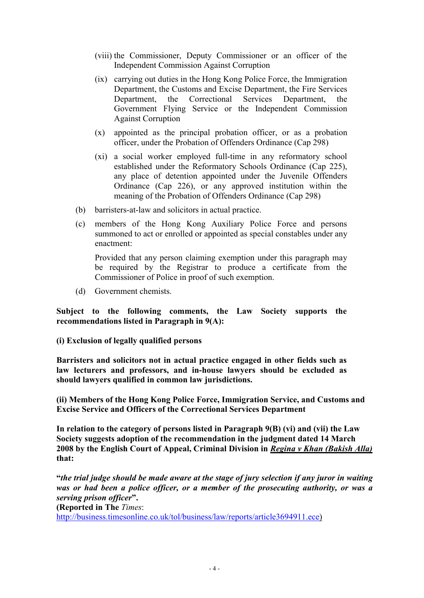- (viii) the Commissioner, Deputy Commissioner or an officer of the Independent Commission Against Corruption
- (ix) carrying out duties in the Hong Kong Police Force, the Immigration Department, the Customs and Excise Department, the Fire Services Department, the Correctional Services Department, the Government Flying Service or the Independent Commission Against Corruption
- (x) appointed as the principal probation officer, or as a probation officer, under the Probation of Offenders Ordinance (Cap 298)
- (xi) a social worker employed full-time in any reformatory school established under the Reformatory Schools Ordinance (Cap 225), any place of detention appointed under the Juvenile Offenders Ordinance (Cap 226), or any approved institution within the meaning of the Probation of Offenders Ordinance (Cap 298)
- (b) barristers-at-law and solicitors in actual practice.
- (c) members of the Hong Kong Auxiliary Police Force and persons summoned to act or enrolled or appointed as special constables under any enactment:

Provided that any person claiming exemption under this paragraph may be required by the Registrar to produce a certificate from the Commissioner of Police in proof of such exemption.

(d) Government chemists.

**Subject to the following comments, the Law Society supports the recommendations listed in Paragraph in 9(A):** 

## **(i) Exclusion of legally qualified persons**

**Barristers and solicitors not in actual practice engaged in other fields such as law lecturers and professors, and in-house lawyers should be excluded as should lawyers qualified in common law jurisdictions.** 

**(ii) Members of the Hong Kong Police Force, Immigration Service, and Customs and Excise Service and Officers of the Correctional Services Department** 

**In relation to the category of persons listed in Paragraph 9(B) (vi) and (vii) the Law Society suggests adoption of the recommendation in the judgment dated 14 March 2008 by the English Court of Appeal, Criminal Division in** *Regina v Khan (Bakish Alla)* **that:** 

**"***the trial judge should be made aware at the stage of jury selection if any juror in waiting was or had been a police officer, or a member of the prosecuting authority, or was a serving prison officer***".** 

**(Reported in The** *Times*:

<http://business.timesonline.co.uk/tol/business/law/reports/article3694911.ece>)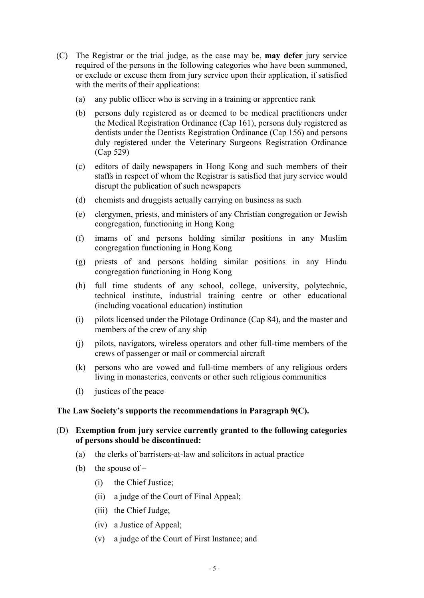- (C) The Registrar or the trial judge, as the case may be, **may defer** jury service required of the persons in the following categories who have been summoned, or exclude or excuse them from jury service upon their application, if satisfied with the merits of their applications:
	- (a) any public officer who is serving in a training or apprentice rank
	- (b) persons duly registered as or deemed to be medical practitioners under the Medical Registration Ordinance (Cap 161), persons duly registered as dentists under the Dentists Registration Ordinance (Cap 156) and persons duly registered under the Veterinary Surgeons Registration Ordinance (Cap 529)
	- (c) editors of daily newspapers in Hong Kong and such members of their staffs in respect of whom the Registrar is satisfied that jury service would disrupt the publication of such newspapers
	- (d) chemists and druggists actually carrying on business as such
	- (e) clergymen, priests, and ministers of any Christian congregation or Jewish congregation, functioning in Hong Kong
	- (f) imams of and persons holding similar positions in any Muslim congregation functioning in Hong Kong
	- (g) priests of and persons holding similar positions in any Hindu congregation functioning in Hong Kong
	- (h) full time students of any school, college, university, polytechnic, technical institute, industrial training centre or other educational (including vocational education) institution
	- (i) pilots licensed under the Pilotage Ordinance (Cap 84), and the master and members of the crew of any ship
	- (j) pilots, navigators, wireless operators and other full-time members of the crews of passenger or mail or commercial aircraft
	- (k) persons who are vowed and full-time members of any religious orders living in monasteries, convents or other such religious communities
	- (l) justices of the peace

## **The Law Society's supports the recommendations in Paragraph 9(C).**

## (D) **Exemption from jury service currently granted to the following categories of persons should be discontinued:**

- (a) the clerks of barristers-at-law and solicitors in actual practice
- (b) the spouse of  $-$ 
	- (i) the Chief Justice;
	- (ii) a judge of the Court of Final Appeal;
	- (iii) the Chief Judge;
	- (iv) a Justice of Appeal;
	- (v) a judge of the Court of First Instance; and